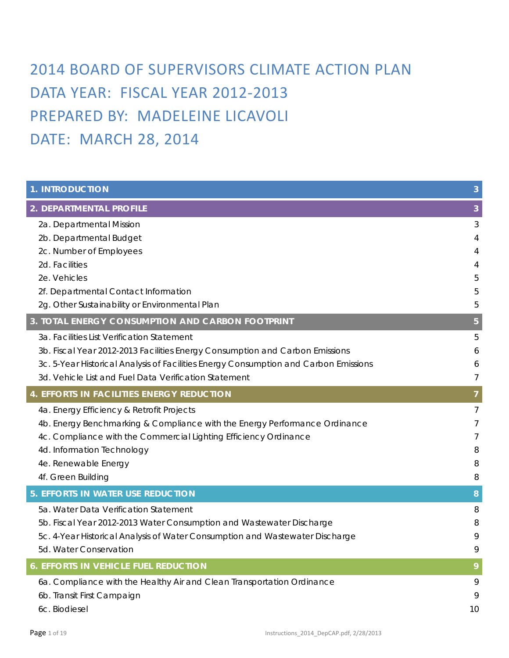# 2014 BOARD OF SUPERVISORS CLIMATE ACTION PLAN DATA YEAR: FISCAL YEAR 2012-2013 PREPARED BY: MADELEINE LICAVOLI DATE: MARCH 28, 2014

| <b>1. INTRODUCTION</b>                                                               | 3              |
|--------------------------------------------------------------------------------------|----------------|
| 2. DEPARTMENTAL PROFILE                                                              | 3              |
| 2a. Departmental Mission                                                             | 3              |
| 2b. Departmental Budget                                                              | 4              |
| 2c. Number of Employees                                                              | 4              |
| 2d. Facilities                                                                       | 4              |
| 2e. Vehicles                                                                         | 5              |
| 2f. Departmental Contact Information                                                 | 5              |
| 2g. Other Sustainability or Environmental Plan                                       | 5              |
| 3. TOTAL ENERGY CONSUMPTION AND CARBON FOOTPRINT                                     | 5              |
| 3a. Facilities List Verification Statement                                           | 5              |
| 3b. Fiscal Year 2012-2013 Facilities Energy Consumption and Carbon Emissions         | 6              |
| 3c. 5-Year Historical Analysis of Facilities Energy Consumption and Carbon Emissions | 6              |
| 3d. Vehicle List and Fuel Data Verification Statement                                | 7              |
| 4. EFFORTS IN FACILITIES ENERGY REDUCTION                                            | $\overline{7}$ |
| 4a. Energy Efficiency & Retrofit Projects                                            | $\overline{7}$ |
| 4b. Energy Benchmarking & Compliance with the Energy Performance Ordinance           | 7              |
| 4c. Compliance with the Commercial Lighting Efficiency Ordinance                     | 7              |
| 4d. Information Technology                                                           | 8              |
| 4e. Renewable Energy                                                                 | 8              |
| 4f. Green Building                                                                   | 8              |
| <b>5. EFFORTS IN WATER USE REDUCTION</b>                                             | 8              |
| 5a. Water Data Verification Statement                                                | 8              |
| 5b. Fiscal Year 2012-2013 Water Consumption and Wastewater Discharge                 | 8              |
| 5c. 4-Year Historical Analysis of Water Consumption and Wastewater Discharge         | 9              |
| 5d. Water Conservation                                                               | 9              |
| <b>6. EFFORTS IN VEHICLE FUEL REDUCTION</b>                                          | 9              |
| 6a. Compliance with the Healthy Air and Clean Transportation Ordinance               | 9              |
| 6b. Transit First Campaign                                                           | 9              |
| 6c. Biodiesel                                                                        | 10             |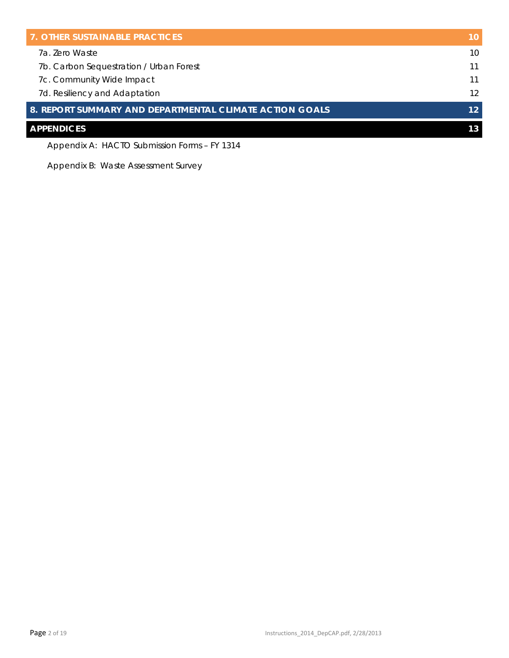| <b>7. OTHER SUSTAINABLE PRACTICES</b>                   | 10 |
|---------------------------------------------------------|----|
| 7a. Zero Waste                                          | 10 |
| 7b. Carbon Sequestration / Urban Forest                 | 11 |
| 7c. Community Wide Impact                               | 11 |
| 7d. Resiliency and Adaptation                           | 12 |
| 8. REPORT SUMMARY AND DEPARTMENTAL CLIMATE ACTION GOALS | 12 |
| <b>APPENDICES</b>                                       | 13 |

Appendix A: HACTO Submission Forms – FY 1314

Appendix B: Waste Assessment Survey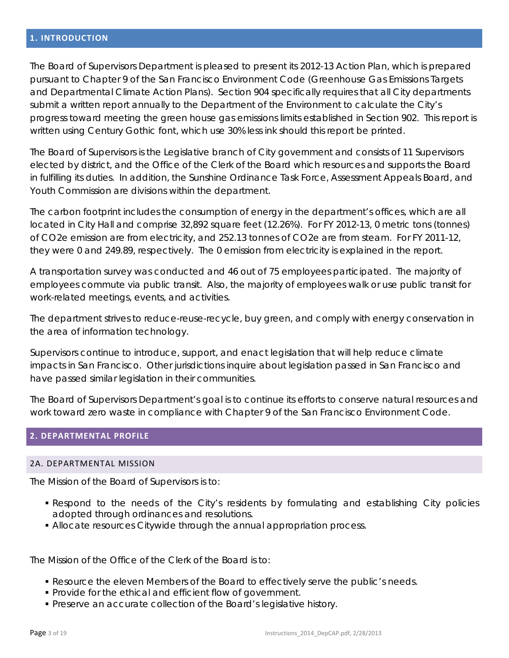<span id="page-2-0"></span>The Board of Supervisors Department is pleased to present its 2012-13 Action Plan, which is prepared pursuant to Chapter 9 of the San Francisco Environment Code (Greenhouse Gas Emissions Targets and Departmental Climate Action Plans). Section 904 specifically requires that all City departments submit a written report annually to the Department of the Environment to calculate the City's progress toward meeting the green house gas emissions limits established in Section 902. This report is written using Century Gothic font, which use 30% less ink should this report be printed.

The Board of Supervisors is the Legislative branch of City government and consists of 11 Supervisors elected by district, and the Office of the Clerk of the Board which resources and supports the Board in fulfilling its duties. In addition, the Sunshine Ordinance Task Force, Assessment Appeals Board, and Youth Commission are divisions within the department.

The carbon footprint includes the consumption of energy in the department's offices, which are all located in City Hall and comprise 32,892 square feet (12.26%). For FY 2012-13, 0 metric tons (tonnes) of CO2e emission are from electricity, and 252.13 tonnes of CO2e are from steam. For FY 2011-12, they were 0 and 249.89, respectively. The 0 emission from electricity is explained in the report.

A transportation survey was conducted and 46 out of 75 employees participated. The majority of employees commute via public transit. Also, the majority of employees walk or use public transit for work-related meetings, events, and activities.

The department strives to reduce-reuse-recycle, buy green, and comply with energy conservation in the area of information technology.

Supervisors continue to introduce, support, and enact legislation that will help reduce climate impacts in San Francisco. Other jurisdictions inquire about legislation passed in San Francisco and have passed similar legislation in their communities.

The Board of Supervisors Department's goal is to continue its efforts to conserve natural resources and work toward zero waste in compliance with Chapter 9 of the San Francisco Environment Code.

# <span id="page-2-2"></span><span id="page-2-1"></span>**2. DEPARTMENTAL PROFILE**

#### 2A. DEPARTMENTAL MISSION

The Mission of the Board of Supervisors is to:

- Respond to the needs of the City's residents by formulating and establishing City policies adopted through ordinances and resolutions.
- Allocate resources Citywide through the annual appropriation process.

The Mission of the Office of the Clerk of the Board is to:

- Resource the eleven Members of the Board to effectively serve the public's needs.
- Provide for the ethical and efficient flow of government.
- Preserve an accurate collection of the Board's legislative history.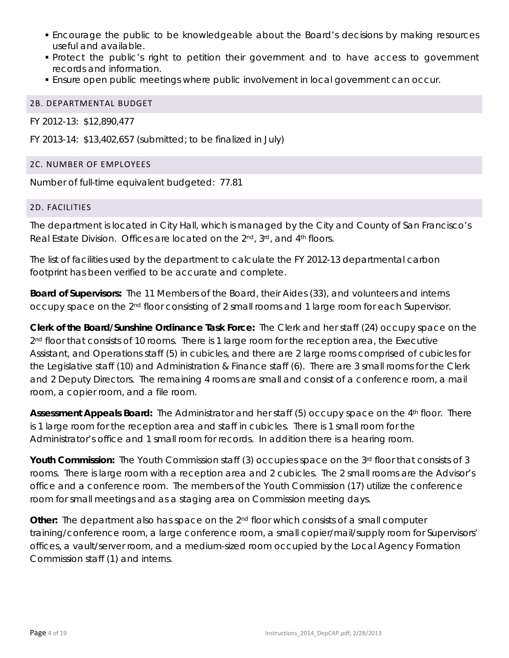- Encourage the public to be knowledgeable about the Board's decisions by making resources useful and available.
- Protect the public's right to petition their government and to have access to government records and information.
- Ensure open public meetings where public involvement in local government can occur.

# <span id="page-3-0"></span>2B. DEPARTMENTAL BUDGET

FY 2012-13: \$12,890,477

FY 2013-14: \$13,402,657 (submitted; to be finalized in July)

# <span id="page-3-1"></span>2C. NUMBER OF EMPLOYEES

Number of full-time equivalent budgeted: 77.81

# <span id="page-3-2"></span>2D. FACILITIES

The department is located in City Hall, which is managed by the City and County of San Francisco's Real Estate Division. Offices are located on the 2<sup>nd</sup>, 3<sup>rd</sup>, and 4<sup>th</sup> floors.

The list of facilities used by the department to calculate the FY 2012-13 departmental carbon footprint has been verified to be accurate and complete.

*Board of Supervisors:* The 11 Members of the Board, their Aides (33), and volunteers and interns occupy space on the 2nd floor consisting of 2 small rooms and 1 large room for each Supervisor.

*Clerk of the Board/Sunshine Ordinance Task Force:* The Clerk and her staff (24) occupy space on the  $2<sup>nd</sup>$  floor that consists of 10 rooms. There is 1 large room for the reception area, the Executive Assistant, and Operations staff (5) in cubicles, and there are 2 large rooms comprised of cubicles for the Legislative staff (10) and Administration & Finance staff (6). There are 3 small rooms for the Clerk and 2 Deputy Directors. The remaining 4 rooms are small and consist of a conference room, a mail room, a copier room, and a file room.

Assessment Appeals Board: The Administrator and her staff (5) occupy space on the 4<sup>th</sup> floor. There is 1 large room for the reception area and staff in cubicles. There is 1 small room for the Administrator's office and 1 small room for records. In addition there is a hearing room.

**Youth Commission:** The Youth Commission staff (3) occupies space on the 3<sup>rd</sup> floor that consists of 3 rooms. There is large room with a reception area and 2 cubicles. The 2 small rooms are the Advisor's office and a conference room. The members of the Youth Commission (17) utilize the conference room for small meetings and as a staging area on Commission meeting days.

**Other:** The department also has space on the 2<sup>nd</sup> floor which consists of a small computer training/conference room, a large conference room, a small copier/mail/supply room for Supervisors' offices, a vault/server room, and a medium-sized room occupied by the Local Agency Formation Commission staff (1) and interns.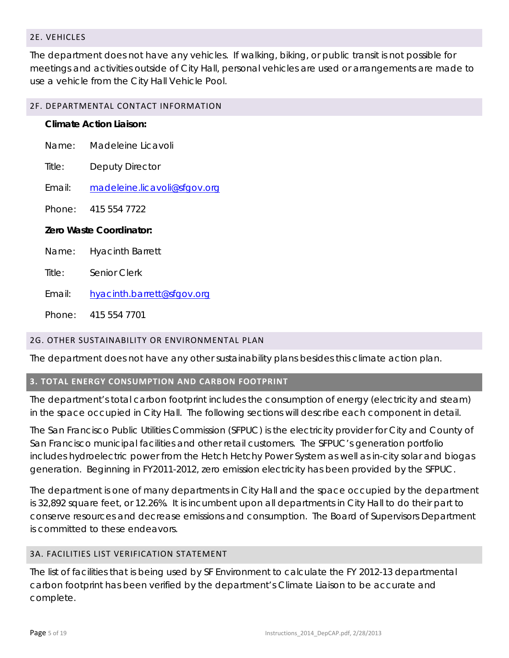# <span id="page-4-0"></span>2E. VEHICLES

The department does not have any vehicles. If walking, biking, or public transit is not possible for meetings and activities outside of City Hall, personal vehicles are used or arrangements are made to use a vehicle from the City Hall Vehicle Pool.

#### <span id="page-4-1"></span>2F. DEPARTMENTAL CONTACT INFORMATION

| <b>Climate Action Liaison:</b> |                              |  |  |
|--------------------------------|------------------------------|--|--|
| Name:                          | Madeleine Licavoli           |  |  |
| Title:                         | Deputy Director              |  |  |
| Fmail <sup>.</sup>             | madeleine.licavoli@sfgov.org |  |  |
|                                | Phone: 415 554 7722          |  |  |
| Zero Waste Coordinator:        |                              |  |  |
| Name:                          | <b>Hyacinth Barrett</b>      |  |  |
| Title:                         | Senior Clerk                 |  |  |
| Fmail:                         | hyacinth.barrett@sfgov.org   |  |  |

#### <span id="page-4-2"></span>2G. OTHER SUSTAINABILITY OR ENVIRONMENTAL PLAN

Phone: 415 554 7701

The department does not have any other sustainability plans besides this climate action plan.

#### <span id="page-4-3"></span>**3. TOTAL ENERGY CONSUMPTION AND CARBON FOOTPRINT**

The department's total carbon footprint includes the consumption of energy (electricity and steam) in the space occupied in City Hall. The following sections will describe each component in detail.

The San Francisco Public Utilities Commission (SFPUC) is the electricity provider for City and County of San Francisco municipal facilities and other retail customers. The SFPUC's generation portfolio includes hydroelectric power from the Hetch Hetchy Power System as well as in-city solar and biogas generation. Beginning in FY2011-2012, zero emission electricity has been provided by the SFPUC.

The department is one of many departments in City Hall and the space occupied by the department is 32,892 square feet, or 12.26%. It is incumbent upon all departments in City Hall to do their part to conserve resources and decrease emissions and consumption. The Board of Supervisors Department is committed to these endeavors.

# <span id="page-4-4"></span>3A. FACILITIES LIST VERIFICATION STATEMENT

The list of facilities that is being used by SF Environment to calculate the FY 2012-13 departmental carbon footprint has been verified by the department's Climate Liaison to be accurate and complete.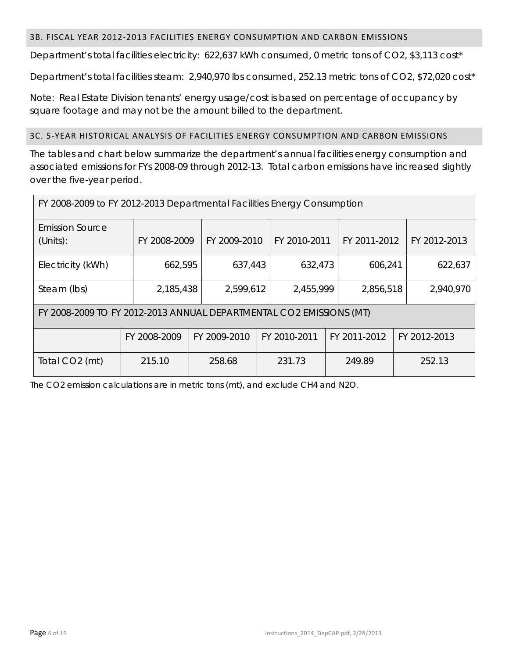# <span id="page-5-0"></span>3B. FISCAL YEAR 2012-2013 FACILITIES ENERGY CONSUMPTION AND CARBON EMISSIONS

Department's total facilities electricity: 622,637 kWh consumed, 0 metric tons of CO2, \$3,113 cost\*

Department's total facilities steam: 2,940,970 lbs consumed, 252.13 metric tons of CO2, \$72,020 cost\*

Note: Real Estate Division tenants' energy usage/cost is based on percentage of occupancy by square footage and may not be the amount billed to the department.

#### <span id="page-5-1"></span>3C. 5-YEAR HISTORICAL ANALYSIS OF FACILITIES ENERGY CONSUMPTION AND CARBON EMISSIONS

The tables and chart below summarize the department's annual facilities energy consumption and associated emissions for FYs 2008-09 through 2012-13. Total carbon emissions have increased slightly over the five-year period.

| FY 2008-2009 to FY 2012-2013 Departmental Facilities Energy Consumption |              |              |  |              |  |              |              |
|-------------------------------------------------------------------------|--------------|--------------|--|--------------|--|--------------|--------------|
| <b>Emission Source</b><br>(Units):                                      | FY 2008-2009 | FY 2009-2010 |  | FY 2010-2011 |  | FY 2011-2012 | FY 2012-2013 |
| Electricity (kWh)                                                       | 662,595      | 637,443      |  | 632,473      |  | 606,241      | 622,637      |
| Steam (lbs)                                                             | 2,185,438    | 2,599,612    |  | 2,455,999    |  | 2,856,518    | 2,940,970    |
| FY 2008-2009 TO FY 2012-2013 ANNUAL DEPARTMENTAL CO2 EMISSIONS (MT)     |              |              |  |              |  |              |              |
|                                                                         | FY 2008-2009 | FY 2009-2010 |  | FY 2010-2011 |  | FY 2011-2012 | FY 2012-2013 |
| Total CO <sub>2</sub> (mt)                                              | 215.10       | 258.68       |  | 231.73       |  | 249.89       | 252.13       |

The CO2 emission calculations are in metric tons (mt), and exclude CH4 and N2O.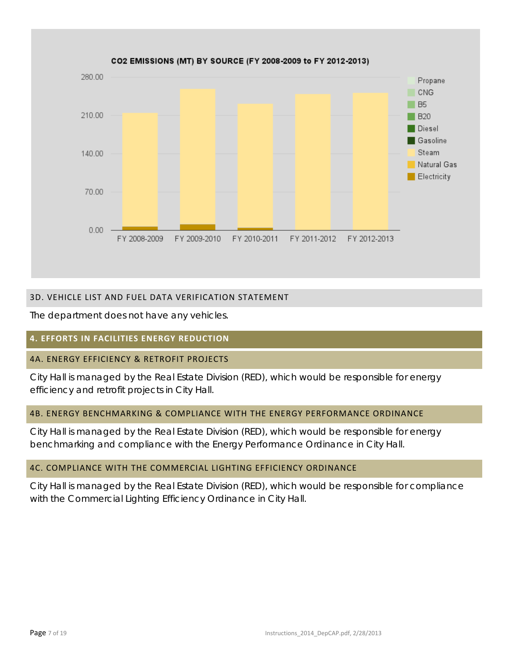

# <span id="page-6-0"></span>3D. VEHICLE LIST AND FUEL DATA VERIFICATION STATEMENT

The department does not have any vehicles.

# <span id="page-6-1"></span>**4. EFFORTS IN FACILITIES ENERGY REDUCTION**

# <span id="page-6-2"></span>4A. ENERGY EFFICIENCY & RETROFIT PROJECTS

City Hall is managed by the Real Estate Division (RED), which would be responsible for energy efficiency and retrofit projects in City Hall.

# <span id="page-6-3"></span>4B. ENERGY BENCHMARKING & COMPLIANCE WITH THE ENERGY PERFORMANCE ORDINANCE

City Hall is managed by the Real Estate Division (RED), which would be responsible for energy benchmarking and compliance with the Energy Performance Ordinance in City Hall.

# <span id="page-6-4"></span>4C. COMPLIANCE WITH THE COMMERCIAL LIGHTING EFFICIENCY ORDINANCE

City Hall is managed by the Real Estate Division (RED), which would be responsible for compliance with the Commercial Lighting Efficiency Ordinance in City Hall.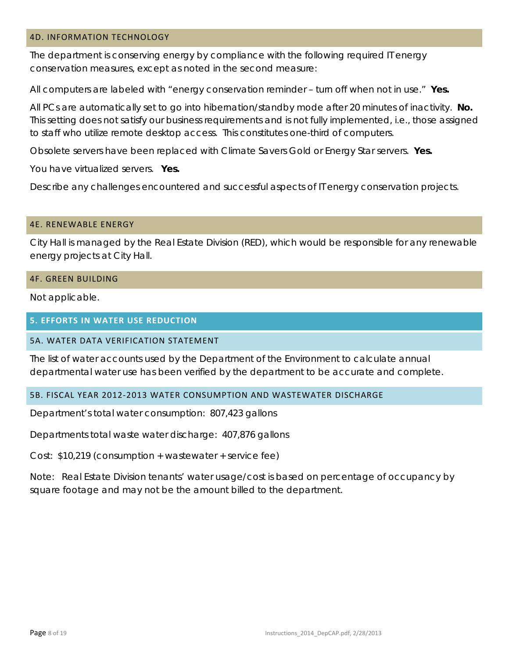#### <span id="page-7-0"></span>4D. INFORMATION TECHNOLOGY

The department is conserving energy by compliance with the following required IT energy conservation measures, except as noted in the second measure:

All computers are labeled with "energy conservation reminder – turn off when not in use." **Yes.**

All PCs are automatically set to go into hibernation/standby mode after 20 minutes of inactivity. **No.** This setting does not satisfy our business requirements and is not fully implemented, i.e., those assigned to staff who utilize remote desktop access. This constitutes one-third of computers.

Obsolete servers have been replaced with Climate Savers Gold or Energy Star servers. **Yes.**

You have virtualized servers. **Yes.**

Describe any challenges encountered and successful aspects of IT energy conservation projects.

#### <span id="page-7-1"></span>4E. RENEWABLE ENERGY

City Hall is managed by the Real Estate Division (RED), which would be responsible for any renewable energy projects at City Hall.

## <span id="page-7-2"></span>4F. GREEN BUILDING

Not applicable.

#### <span id="page-7-3"></span>**5. EFFORTS IN WATER USE REDUCTION**

#### <span id="page-7-4"></span>5A. WATER DATA VERIFICATION STATEMENT

The list of water accounts used by the Department of the Environment to calculate annual departmental water use has been verified by the department to be accurate and complete.

#### <span id="page-7-5"></span>5B. FISCAL YEAR 2012-2013 WATER CONSUMPTION AND WASTEWATER DISCHARGE

Department's total water consumption: 807,423 gallons

Departments total waste water discharge: 407,876 gallons

Cost: \$10,219 (consumption + wastewater + service fee)

Note: Real Estate Division tenants' water usage/cost is based on percentage of occupancy by square footage and may not be the amount billed to the department.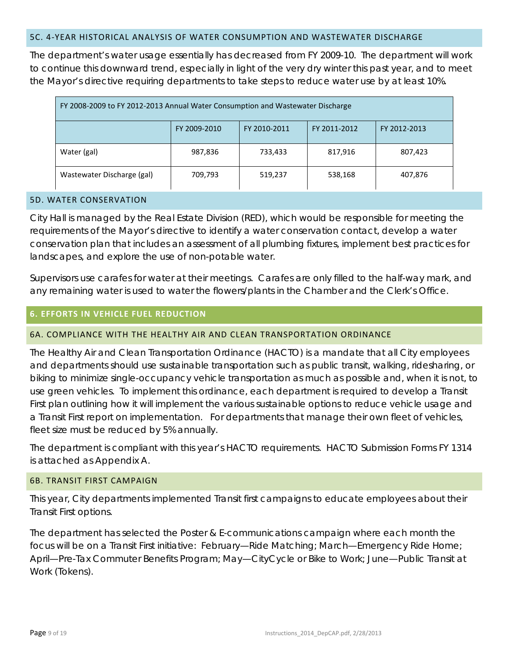#### <span id="page-8-0"></span>5C. 4-YEAR HISTORICAL ANALYSIS OF WATER CONSUMPTION AND WASTEWATER DISCHARGE

The department's water usage essentially has decreased from FY 2009-10. The department will work to continue this downward trend, especially in light of the very dry winter this past year, and to meet the Mayor's directive requiring departments to take steps to reduce water use by at least 10%.

| FY 2008-2009 to FY 2012-2013 Annual Water Consumption and Wastewater Discharge |              |              |              |              |
|--------------------------------------------------------------------------------|--------------|--------------|--------------|--------------|
|                                                                                | FY 2009-2010 | FY 2010-2011 | FY 2011-2012 | FY 2012-2013 |
| Water (gal)                                                                    | 987,836      | 733,433      | 817,916      | 807,423      |
| Wastewater Discharge (gal)                                                     | 709,793      | 519,237      | 538,168      | 407,876      |

#### <span id="page-8-1"></span>5D. WATER CONSERVATION

City Hall is managed by the Real Estate Division (RED), which would be responsible for meeting the requirements of the Mayor's directive to identify a water conservation contact, develop a water conservation plan that includes an assessment of all plumbing fixtures, implement best practices for landscapes, and explore the use of non-potable water.

Supervisors use carafes for water at their meetings. Carafes are only filled to the half-way mark, and any remaining water is used to water the flowers/plants in the Chamber and the Clerk's Office.

### <span id="page-8-2"></span>**6. EFFORTS IN VEHICLE FUEL REDUCTION**

#### <span id="page-8-3"></span>6A. COMPLIANCE WITH THE HEALTHY AIR AND CLEAN TRANSPORTATION ORDINANCE

The Healthy Air and Clean Transportation Ordinance (HACTO) is a mandate that all City employees and departments should use sustainable transportation such as public transit, walking, ridesharing, or biking to minimize single-occupancy vehicle transportation as much as possible and, when it is not, to use green vehicles. To implement this ordinance, each department is required to develop a Transit First plan outlining how it will implement the various sustainable options to reduce vehicle usage and a Transit First report on implementation. For departments that manage their own fleet of vehicles, fleet size must be reduced by 5% annually.

The department is compliant with this year's HACTO requirements. HACTO Submission Forms FY 1314 is attached as Appendix A.

#### <span id="page-8-4"></span>6B. TRANSIT FIRST CAMPAIGN

This year, City departments implemented Transit first campaigns to educate employees about their Transit First options.

The department has selected the Poster & E-communications campaign where each month the focus will be on a Transit First initiative: February—Ride Matching; March—Emergency Ride Home; April—Pre-Tax Commuter Benefits Program; May—CityCycle or Bike to Work; June—Public Transit at Work (Tokens).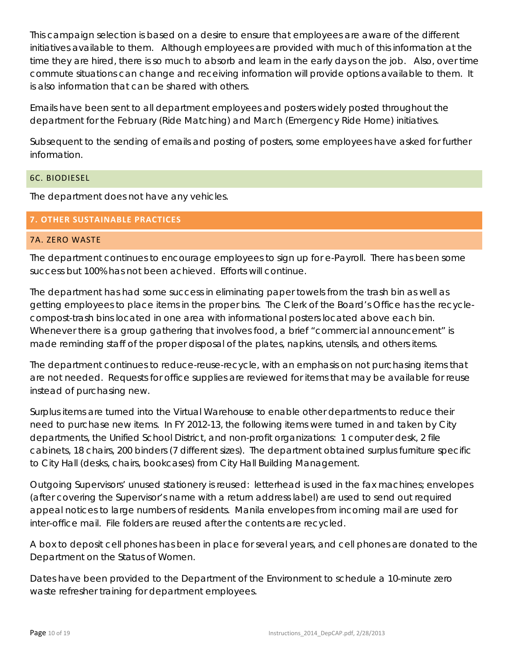This campaign selection is based on a desire to ensure that employees are aware of the different initiatives available to them. Although employees are provided with much of this information at the time they are hired, there is so much to absorb and learn in the early days on the job. Also, over time commute situations can change and receiving information will provide options available to them. It is also information that can be shared with others.

Emails have been sent to all department employees and posters widely posted throughout the department for the February (Ride Matching) and March (Emergency Ride Home) initiatives.

Subsequent to the sending of emails and posting of posters, some employees have asked for further information.

# <span id="page-9-0"></span>6C. BIODIESEL

The department does not have any vehicles.

# <span id="page-9-1"></span>**7. OTHER SUSTAINABLE PRACTICES**

# <span id="page-9-2"></span>7A. ZERO WASTE

The department continues to encourage employees to sign up for e-Payroll. There has been some success but 100% has not been achieved. Efforts will continue.

The department has had some success in eliminating paper towels from the trash bin as well as getting employees to place items in the proper bins. The Clerk of the Board's Office has the recyclecompost-trash bins located in one area with informational posters located above each bin. Whenever there is a group gathering that involves food, a brief "commercial announcement" is made reminding staff of the proper disposal of the plates, napkins, utensils, and others items.

The department continues to reduce-reuse-recycle, with an emphasis on not purchasing items that are not needed. Requests for office supplies are reviewed for items that may be available for reuse instead of purchasing new.

Surplus items are turned into the Virtual Warehouse to enable other departments to reduce their need to purchase new items. In FY 2012-13, the following items were turned in and taken by City departments, the Unified School District, and non-profit organizations: 1 computer desk, 2 file cabinets, 18 chairs, 200 binders (7 different sizes). The department obtained surplus furniture specific to City Hall (desks, chairs, bookcases) from City Hall Building Management.

Outgoing Supervisors' unused stationery is reused: letterhead is used in the fax machines; envelopes (after covering the Supervisor's name with a return address label) are used to send out required appeal notices to large numbers of residents. Manila envelopes from incoming mail are used for inter-office mail. File folders are reused after the contents are recycled.

A box to deposit cell phones has been in place for several years, and cell phones are donated to the Department on the Status of Women.

Dates have been provided to the Department of the Environment to schedule a 10-minute zero waste refresher training for department employees.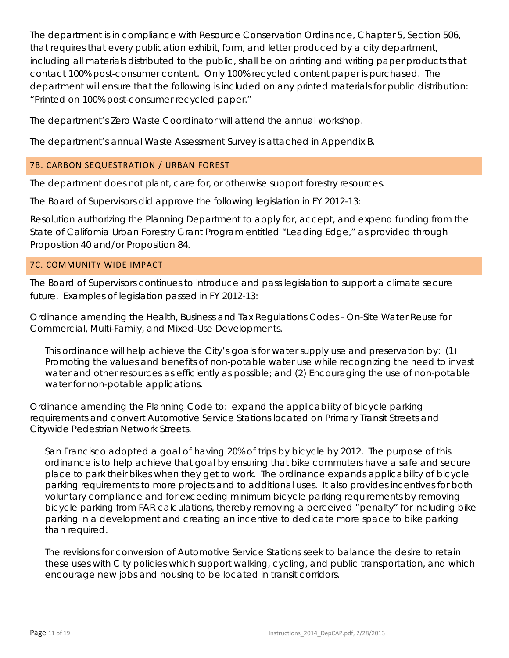The department is in compliance with Resource Conservation Ordinance, Chapter 5, Section 506, that requires that every publication exhibit, form, and letter produced by a city department, including all materials distributed to the public, shall be on printing and writing paper products that contact 100% post-consumer content. Only 100% recycled content paper is purchased. The department will ensure that the following is included on any printed materials for public distribution: "Printed on 100% post-consumer recycled paper."

The department's Zero Waste Coordinator will attend the annual workshop.

The department's annual Waste Assessment Survey is attached in Appendix B.

# <span id="page-10-0"></span>7B. CARBON SEQUESTRATION / URBAN FOREST

The department does not plant, care for, or otherwise support forestry resources.

The Board of Supervisors did approve the following legislation in FY 2012-13:

Resolution authorizing the Planning Department to apply for, accept, and expend funding from the State of California Urban Forestry Grant Program entitled "Leading Edge," as provided through Proposition 40 and/or Proposition 84.

# <span id="page-10-1"></span>7C. COMMUNITY WIDE IMPACT

The Board of Supervisors continues to introduce and pass legislation to support a climate secure future. Examples of legislation passed in FY 2012-13:

Ordinance amending the Health, Business and Tax Regulations Codes - On-Site Water Reuse for Commercial, Multi-Family, and Mixed-Use Developments.

This ordinance will help achieve the City's goals for water supply use and preservation by: (1) Promoting the values and benefits of non-potable water use while recognizing the need to invest water and other resources as efficiently as possible; and (2) Encouraging the use of non-potable water for non-potable applications.

Ordinance amending the Planning Code to: expand the applicability of bicycle parking requirements and convert Automotive Service Stations located on Primary Transit Streets and Citywide Pedestrian Network Streets.

San Francisco adopted a goal of having 20% of trips by bicycle by 2012. The purpose of this ordinance is to help achieve that goal by ensuring that bike commuters have a safe and secure place to park their bikes when they get to work. The ordinance expands applicability of bicycle parking requirements to more projects and to additional uses. It also provides incentives for both voluntary compliance and for exceeding minimum bicycle parking requirements by removing bicycle parking from FAR calculations, thereby removing a perceived "penalty" for including bike parking in a development and creating an incentive to dedicate more space to bike parking than required.

The revisions for conversion of Automotive Service Stations seek to balance the desire to retain these uses with City policies which support walking, cycling, and public transportation, and which encourage new jobs and housing to be located in transit corridors.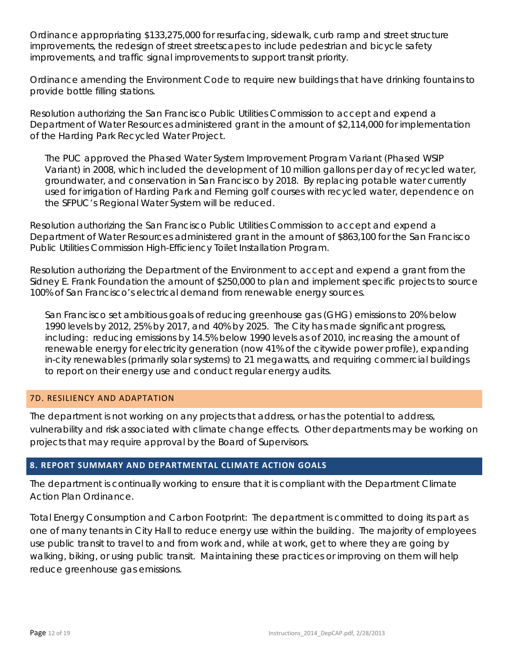Ordinance appropriating \$133,275,000 for resurfacing, sidewalk, curb ramp and street structure improvements, the redesign of street streetscapes to include pedestrian and bicycle safety improvements, and traffic signal improvements to support transit priority.

Ordinance amending the Environment Code to require new buildings that have drinking fountains to provide bottle filling stations.

Resolution authorizing the San Francisco Public Utilities Commission to accept and expend a Department of Water Resources administered grant in the amount of \$2,114,000 for implementation of the Harding Park Recycled Water Project.

The PUC approved the Phased Water System Improvement Program Variant (Phased WSIP Variant) in 2008, which included the development of 10 million gallons per day of recycled water, groundwater, and conservation in San Francisco by 2018. By replacing potable water currently used for irrigation of Harding Park and Fleming golf courses with recycled water, dependence on the SFPUC's Regional Water System will be reduced.

Resolution authorizing the San Francisco Public Utilities Commission to accept and expend a Department of Water Resources administered grant in the amount of \$863,100 for the San Francisco Public Utilities Commission High-Efficiency Toilet Installation Program.

Resolution authorizing the Department of the Environment to accept and expend a grant from the Sidney E. Frank Foundation the amount of \$250,000 to plan and implement specific projects to source 100% of San Francisco's electrical demand from renewable energy sources.

San Francisco set ambitious goals of reducing greenhouse gas (GHG) emissions to 20% below 1990 levels by 2012, 25% by 2017, and 40% by 2025. The City has made significant progress, including: reducing emissions by 14.5% below 1990 levels as of 2010, increasing the amount of renewable energy for electricity generation (now 41% of the citywide power profile), expanding in-city renewables (primarily solar systems) to 21 megawatts, and requiring commercial buildings to report on their energy use and conduct regular energy audits.

# <span id="page-11-0"></span>7D. RESILIENCY AND ADAPTATION

The department is not working on any projects that address, or has the potential to address, vulnerability and risk associated with climate change effects. Other departments may be working on projects that may require approval by the Board of Supervisors.

# <span id="page-11-1"></span>**8. REPORT SUMMARY AND DEPARTMENTAL CLIMATE ACTION GOALS**

The department is continually working to ensure that it is compliant with the Department Climate Action Plan Ordinance.

Total Energy Consumption and Carbon Footprint: The department is committed to doing its part as one of many tenants in City Hall to reduce energy use within the building. The majority of employees use public transit to travel to and from work and, while at work, get to where they are going by walking, biking, or using public transit. Maintaining these practices or improving on them will help reduce greenhouse gas emissions.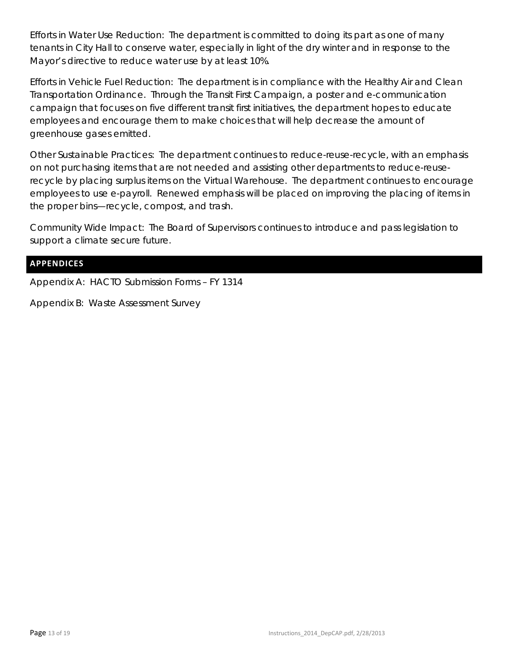Efforts in Water Use Reduction: The department is committed to doing its part as one of many tenants in City Hall to conserve water, especially in light of the dry winter and in response to the Mayor's directive to reduce water use by at least 10%.

Efforts in Vehicle Fuel Reduction: The department is in compliance with the Healthy Air and Clean Transportation Ordinance. Through the Transit First Campaign, a poster and e-communication campaign that focuses on five different transit first initiatives, the department hopes to educate employees and encourage them to make choices that will help decrease the amount of greenhouse gases emitted.

Other Sustainable Practices: The department continues to reduce-reuse-recycle, with an emphasis on not purchasing items that are not needed and assisting other departments to reduce-reuserecycle by placing surplus items on the Virtual Warehouse. The department continues to encourage employees to use e-payroll. Renewed emphasis will be placed on improving the placing of items in the proper bins—recycle, compost, and trash.

Community Wide Impact: The Board of Supervisors continues to introduce and pass legislation to support a climate secure future.

# <span id="page-12-0"></span>**APPENDICES**

Appendix A: HACTO Submission Forms – FY 1314

Appendix B: Waste Assessment Survey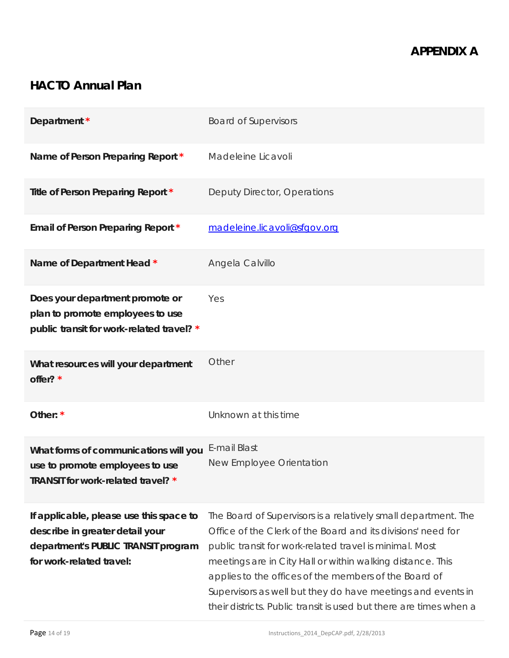# **HACTO Annual Plan**

| Department *                                                                                                                                  | <b>Board of Supervisors</b>                                                                                                                                                                                                                                                                                                                                                                                                                           |
|-----------------------------------------------------------------------------------------------------------------------------------------------|-------------------------------------------------------------------------------------------------------------------------------------------------------------------------------------------------------------------------------------------------------------------------------------------------------------------------------------------------------------------------------------------------------------------------------------------------------|
| Name of Person Preparing Report *                                                                                                             | Madeleine Licavoli                                                                                                                                                                                                                                                                                                                                                                                                                                    |
| Title of Person Preparing Report *                                                                                                            | Deputy Director, Operations                                                                                                                                                                                                                                                                                                                                                                                                                           |
| Email of Person Preparing Report *                                                                                                            | madeleine.licavoli@sfgov.org                                                                                                                                                                                                                                                                                                                                                                                                                          |
| Name of Department Head *                                                                                                                     | Angela Calvillo                                                                                                                                                                                                                                                                                                                                                                                                                                       |
| Does your department promote or<br>plan to promote employees to use<br>public transit for work-related travel? *                              | Yes                                                                                                                                                                                                                                                                                                                                                                                                                                                   |
| What resources will your department<br>offer? *                                                                                               | Other                                                                                                                                                                                                                                                                                                                                                                                                                                                 |
| Other: *                                                                                                                                      | Unknown at this time                                                                                                                                                                                                                                                                                                                                                                                                                                  |
| What forms of communications will you<br>use to promote employees to use<br>TRANSIT for work-related travel? *                                | E-mail Blast<br>New Employee Orientation                                                                                                                                                                                                                                                                                                                                                                                                              |
| If applicable, please use this space to<br>describe in greater detail your<br>department's PUBLIC TRANSIT program<br>for work-related travel: | The Board of Supervisors is a relatively small department. The<br>Office of the Clerk of the Board and its divisions' need for<br>public transit for work-related travel is minimal. Most<br>meetings are in City Hall or within walking distance. This<br>applies to the offices of the members of the Board of<br>Supervisors as well but they do have meetings and events in<br>their districts. Public transit is used but there are times when a |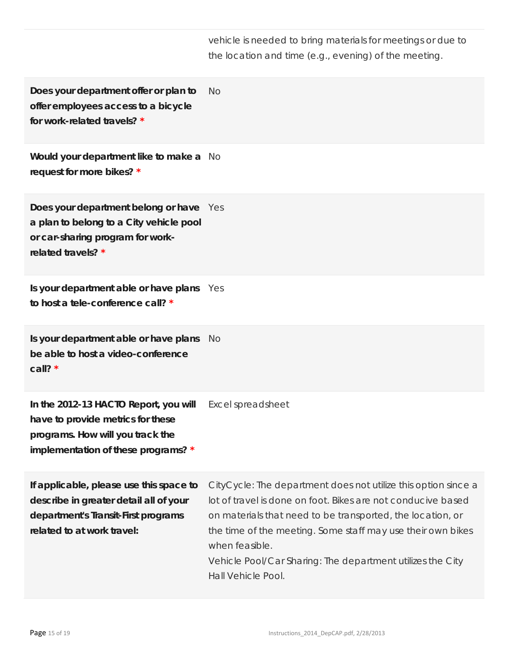vehicle is needed to bring materials for meetings or due to the location and time (e.g., evening) of the meeting.

**Does your department offer or plan to offer employees access to a bicycle for work-related travels? \***  $N<sub>O</sub>$ 

**Would your department like to make a**  No **request for more bikes? \***

**Does your department belong or have**  Yes **a plan to belong to a City vehicle pool or car-sharing program for workrelated travels? \***

**Is your department able or have plans**  Yes **to host a tele-conference call? \***

**Is your department able or have plans be able to host a video-conference call? \*** No

**In the 2012-13 HACTO Report, you will have to provide metrics for these programs. How will you track the implementation of these programs? \*** Excel spreadsheet

**If applicable, please use this space to describe in greater detail all of your department's Transit-First programs related to at work travel:**  CityCycle: The department does not utilize this option since a lot of travel is done on foot. Bikes are not conducive based on materials that need to be transported, the location, or the time of the meeting. Some staff may use their own bikes when feasible. Vehicle Pool/Car Sharing: The department utilizes the City Hall Vehicle Pool.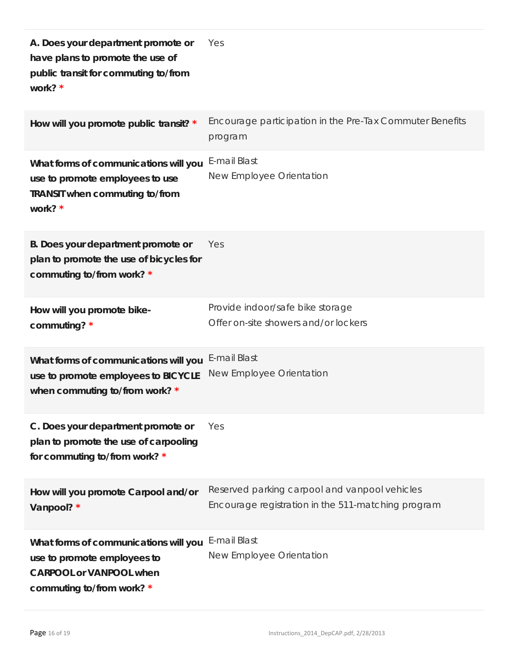| A. Does your department promote or<br>have plans to promote the use of<br>public transit for commuting to/from<br>work? *           | Yes                                                                                                 |
|-------------------------------------------------------------------------------------------------------------------------------------|-----------------------------------------------------------------------------------------------------|
| How will you promote public transit? *                                                                                              | Encourage participation in the Pre-Tax Commuter Benefits<br>program                                 |
| What forms of communications will you<br>use to promote employees to use<br>TRANSIT when commuting to/from<br>work? *               | E-mail Blast<br>New Employee Orientation                                                            |
| B. Does your department promote or<br>plan to promote the use of bicycles for<br>commuting to/from work? *                          | Yes                                                                                                 |
| How will you promote bike-<br>commuting? *                                                                                          | Provide indoor/safe bike storage<br>Offer on-site showers and/or lockers                            |
| What forms of communications will you<br>use to promote employees to BICYCLE<br>when commuting to/from work? *                      | E-mail Blast<br>New Employee Orientation                                                            |
| C. Does your department promote or<br>plan to promote the use of carpooling<br>for commuting to/from work? *                        | Yes                                                                                                 |
| How will you promote Carpool and/or<br>Vanpool? *                                                                                   | Reserved parking carpool and vanpool vehicles<br>Encourage registration in the 511-matching program |
| What forms of communications will you<br>use to promote employees to<br><b>CARPOOL or VANPOOL when</b><br>commuting to/from work? * | E-mail Blast<br>New Employee Orientation                                                            |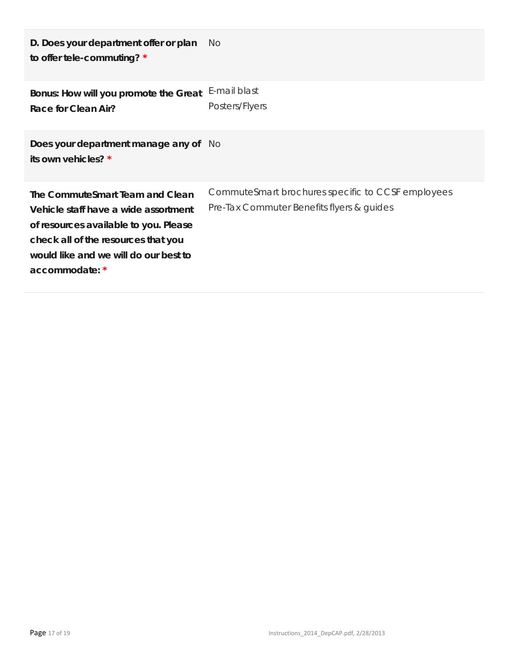| D. Does your department offer or plan<br>to offer tele-commuting? *                                                                                                                                                | No.                                                                                            |
|--------------------------------------------------------------------------------------------------------------------------------------------------------------------------------------------------------------------|------------------------------------------------------------------------------------------------|
| Bonus: How will you promote the Great<br>Race for Clean Air?                                                                                                                                                       | E-mail blast<br>Posters/Flyers                                                                 |
| Does your department manage any of No<br>its own vehicles? *                                                                                                                                                       |                                                                                                |
| The CommuteSmart Team and Clean<br>Vehicle staff have a wide assortment<br>of resources available to you. Please<br>check all of the resources that you<br>would like and we will do our best to<br>accommodate: * | CommuteSmart brochures specific to CCSF employees<br>Pre-Tax Commuter Benefits flyers & guides |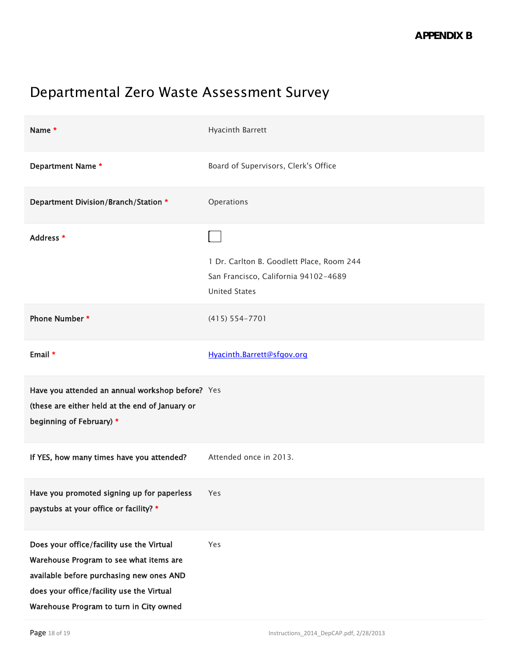# Departmental Zero Waste Assessment Survey

| Name *                                                                                                                                                                                                                   | Hyacinth Barrett                                                                                          |
|--------------------------------------------------------------------------------------------------------------------------------------------------------------------------------------------------------------------------|-----------------------------------------------------------------------------------------------------------|
| Department Name *                                                                                                                                                                                                        | Board of Supervisors, Clerk's Office                                                                      |
| Department Division/Branch/Station *                                                                                                                                                                                     | Operations                                                                                                |
| Address *                                                                                                                                                                                                                | 1 Dr. Carlton B. Goodlett Place, Room 244<br>San Francisco, California 94102-4689<br><b>United States</b> |
| Phone Number *                                                                                                                                                                                                           | $(415) 554 - 7701$                                                                                        |
| Email *                                                                                                                                                                                                                  | Hyacinth.Barrett@sfgov.org                                                                                |
| Have you attended an annual workshop before? Yes<br>(these are either held at the end of January or<br>beginning of February) *                                                                                          |                                                                                                           |
| If YES, how many times have you attended?                                                                                                                                                                                | Attended once in 2013.                                                                                    |
| Have you promoted signing up for paperless<br>paystubs at your office or facility? *                                                                                                                                     | Yes                                                                                                       |
| Does your office/facility use the Virtual<br>Warehouse Program to see what items are<br>available before purchasing new ones AND<br>does your office/facility use the Virtual<br>Warehouse Program to turn in City owned | Yes                                                                                                       |